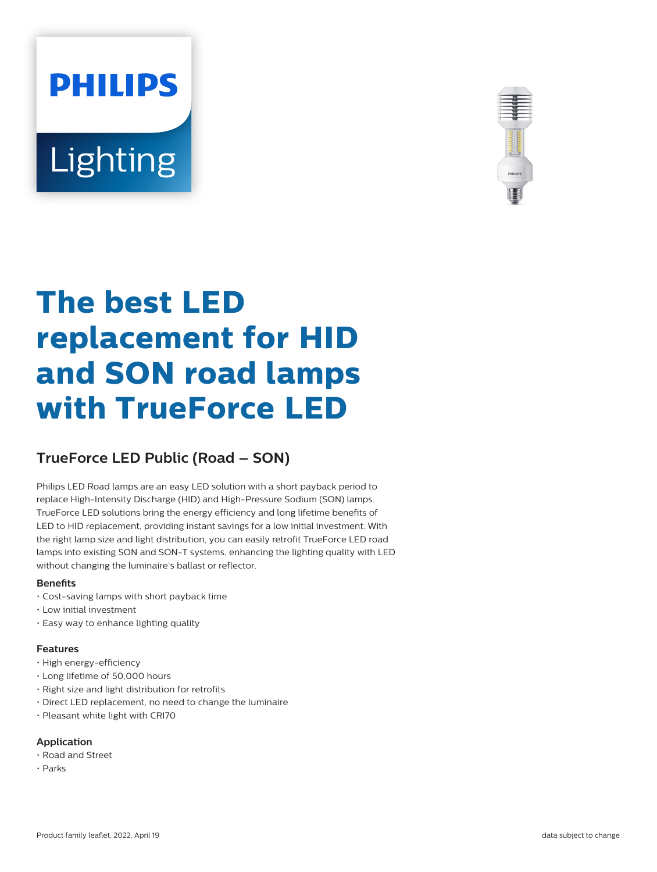# **PHILIPS Lighting**



# **The best LED replacement for HID and SON road lamps with TrueForce LED**

# **TrueForce LED Public (Road – SON)**

Philips LED Road lamps are an easy LED solution with a short payback period to replace High-Intensity Discharge (HID) and High-Pressure Sodium (SON) lamps. TrueForce LED solutions bring the energy efficiency and long lifetime benefits of LED to HID replacement, providing instant savings for a low initial investment. With the right lamp size and light distribution, you can easily retrofit TrueForce LED road lamps into existing SON and SON-T systems, enhancing the lighting quality with LED without changing the luminaire's ballast or reflector.

#### **Benets**

- Cost-saving lamps with short payback time
- Low initial investment
- Easy way to enhance lighting quality

#### **Features**

- High energy-efficiency
- Long lifetime of 50,000 hours
- Right size and light distribution for retrofits
- Direct LED replacement, no need to change the luminaire
- Pleasant white light with CRI70

#### **Application**

- Road and Street
- Parks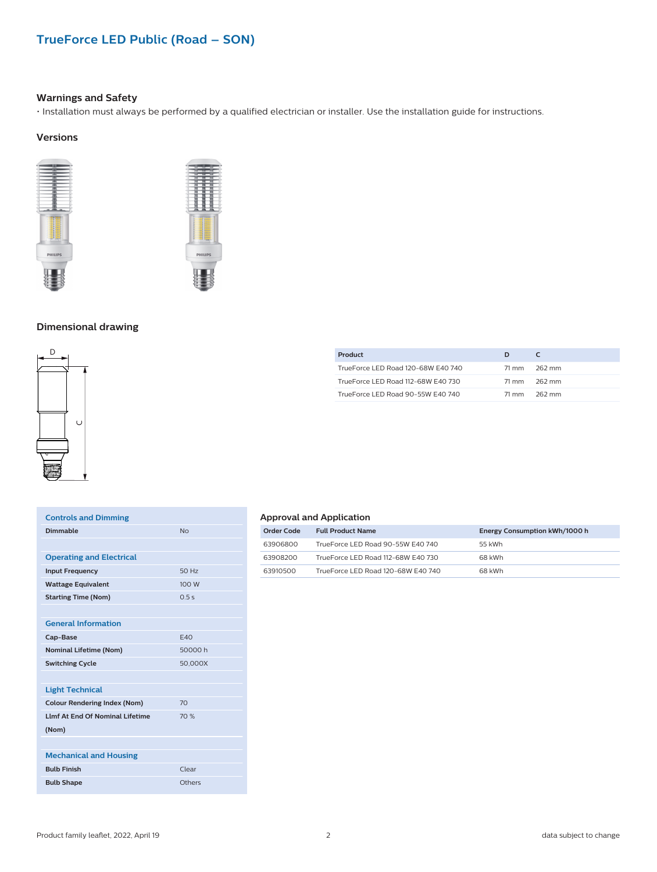## **TrueForce LED Public (Road – SON)**

#### **Warnings and Safety**

• Installation must always be performed by a qualified electrician or installer. Use the installation guide for instructions.

#### **Versions**





#### **Dimensional drawing**



| <b>Controls and Dimming</b>            |                |
|----------------------------------------|----------------|
| Dimmable                               | N <sub>0</sub> |
|                                        |                |
| <b>Operating and Electrical</b>        |                |
| <b>Input Frequency</b>                 | 50 Hz          |
| <b>Wattage Equivalent</b>              | 100 W          |
| <b>Starting Time (Nom)</b>             | 0.5s           |
|                                        |                |
| <b>General Information</b>             |                |
| Cap-Base                               | F40            |
| <b>Nominal Lifetime (Nom)</b>          | 50000 h        |
| <b>Switching Cycle</b>                 | 50.000X        |
|                                        |                |
| <b>Light Technical</b>                 |                |
| <b>Colour Rendering Index (Nom)</b>    | 70             |
| <b>LImf At Fnd Of Nominal Lifetime</b> | 70%            |
| (Nom)                                  |                |
|                                        |                |
| <b>Mechanical and Housing</b>          |                |
| <b>Bulb Finish</b>                     | Clear          |
| <b>Bulb Shape</b>                      | Others         |
|                                        |                |

| Product                            | D     |        |
|------------------------------------|-------|--------|
| TrueForce LED Road 120-68W E40 740 | 71 mm | 262 mm |
| TrueForce LED Road 112-68W E40 730 | 71 mm | 262 mm |
| TrueForce LED Road 90-55W E40 740  | 71 mm | 262 mm |

#### **Approval and Application**

| Order Code | <b>Full Product Name</b>           | Energy Consumption kWh/1000 h |
|------------|------------------------------------|-------------------------------|
| 63906800   | TrueForce LED Road 90-55W E40 740  | 55 kWh                        |
| 63908200   | TrueForce LED Road 112-68W E40 730 | 68 kWh                        |
| 63910500   | TrueForce LED Road 120-68W E40 740 | 68 kWh                        |